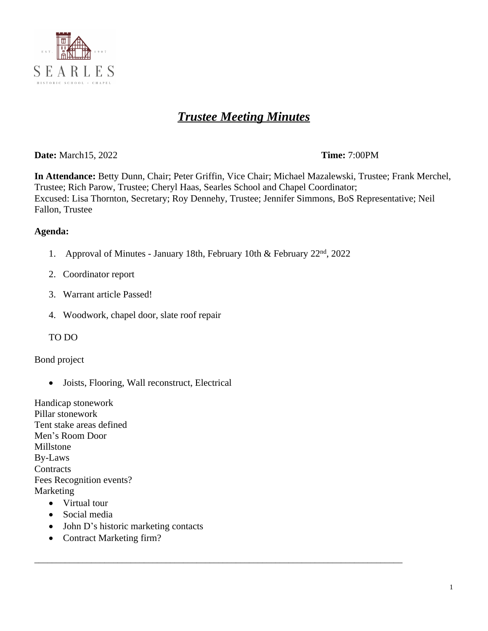

# *Trustee Meeting Minutes*

**Date:** March15, 2022 **Time:** 7:00PM

**In Attendance:** Betty Dunn, Chair; Peter Griffin, Vice Chair; Michael Mazalewski, Trustee; Frank Merchel, Trustee; Rich Parow, Trustee; Cheryl Haas, Searles School and Chapel Coordinator; Excused: Lisa Thornton, Secretary; Roy Dennehy, Trustee; Jennifer Simmons, BoS Representative; Neil Fallon, Trustee

### **Agenda:**

1. Approval of Minutes - January 18th, February 10th & February 22nd, 2022

\_\_\_\_\_\_\_\_\_\_\_\_\_\_\_\_\_\_\_\_\_\_\_\_\_\_\_\_\_\_\_\_\_\_\_\_\_\_\_\_\_\_\_\_\_\_\_\_\_\_\_\_\_\_\_\_\_\_\_\_\_\_\_\_\_\_\_\_\_\_\_\_\_\_\_\_\_\_\_\_\_\_\_\_

- 2. Coordinator report
- 3. Warrant article Passed!
- 4. Woodwork, chapel door, slate roof repair
- TO DO

### Bond project

Joists, Flooring, Wall reconstruct, Electrical

Handicap stonework Pillar stonework Tent stake areas defined Men's Room Door Millstone By-Laws **Contracts** Fees Recognition events? Marketing

- Virtual tour
- Social media
- John D's historic marketing contacts
- Contract Marketing firm?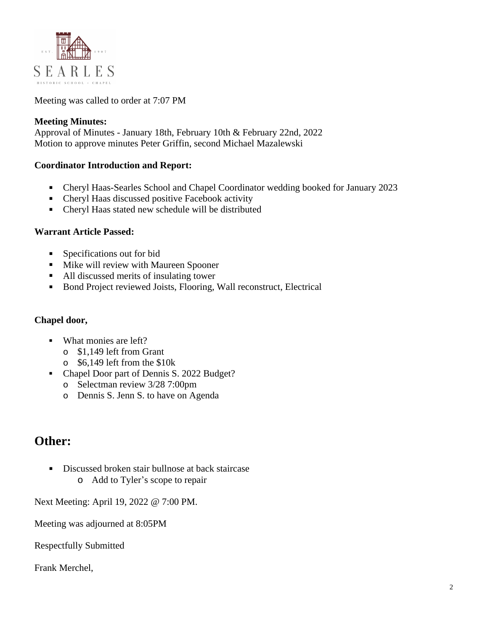

Meeting was called to order at 7:07 PM

### **Meeting Minutes:**

Approval of Minutes - January 18th, February 10th & February 22nd, 2022 Motion to approve minutes Peter Griffin, second Michael Mazalewski

### **Coordinator Introduction and Report:**

- Cheryl Haas-Searles School and Chapel Coordinator wedding booked for January 2023
- Cheryl Haas discussed positive Facebook activity
- Cheryl Haas stated new schedule will be distributed

#### **Warrant Article Passed:**

- **Specifications out for bid**
- **Mike will review with Maureen Spooner**
- All discussed merits of insulating tower
- Bond Project reviewed Joists, Flooring, Wall reconstruct, Electrical

#### **Chapel door,**

- What monies are left?
	- o \$1,149 left from Grant
	- o \$6,149 left from the \$10k
- Chapel Door part of Dennis S. 2022 Budget?
	- o Selectman review 3/28 7:00pm
	- o Dennis S. Jenn S. to have on Agenda

# **Other:**

Discussed broken stair bullnose at back staircase o Add to Tyler's scope to repair

Next Meeting: April 19, 2022 @ 7:00 PM.

Meeting was adjourned at 8:05PM

Respectfully Submitted

Frank Merchel,